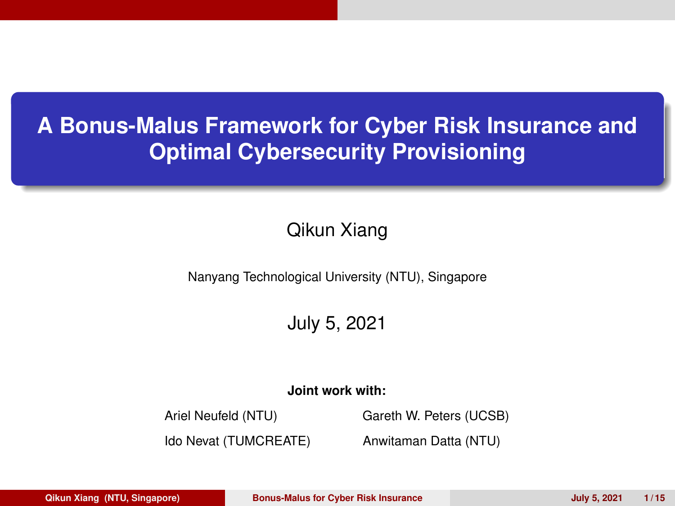#### <span id="page-0-0"></span>**A Bonus-Malus Framework for Cyber Risk Insurance and Optimal Cybersecurity Provisioning**

#### Qikun Xiang

Nanyang Technological University (NTU), Singapore

#### July 5, 2021

#### **Joint work with:**

Ariel Neufeld (NTU) Gareth W. Peters (UCSB)

Ido Nevat (TUMCREATE) Anwitaman Datta (NTU)

**Qikun Xiang (NTU, Singapore) Bonus-Malus for Cyber Risk Insurance July 5, 2021 1 / 15**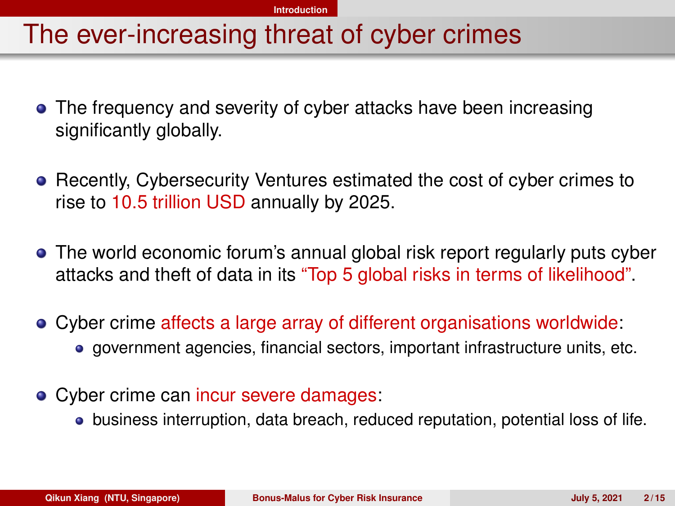#### <span id="page-1-0"></span>The ever-increasing threat of cyber crimes

- The frequency and severity of cyber attacks have been increasing significantly globally.
- Recently, Cybersecurity Ventures estimated the cost of cyber crimes to rise to 10.5 trillion USD annually by 2025.
- The world economic forum's annual global risk report regularly puts cyber attacks and theft of data in its "Top 5 global risks in terms of likelihood".
- Cyber crime affects a large array of different organisations worldwide: government agencies, financial sectors, important infrastructure units, etc.
- Cyber crime can incur severe damages:
	- business interruption, data breach, reduced reputation, potential loss of life.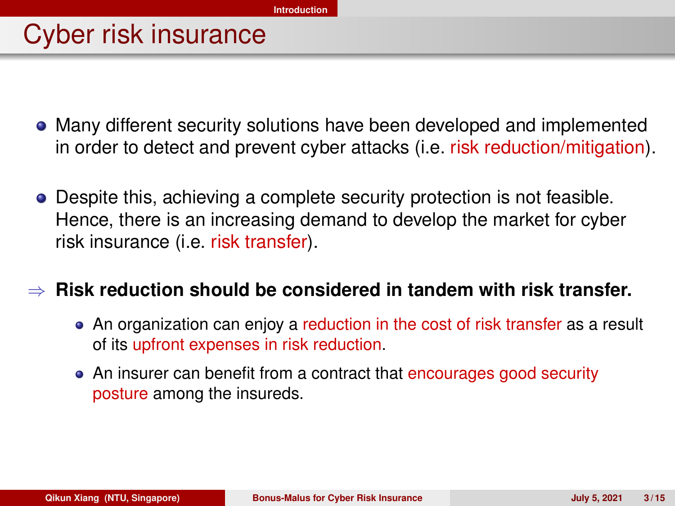#### Cyber risk insurance

- Many different security solutions have been developed and implemented in order to detect and prevent cyber attacks (i.e. risk reduction/mitigation).
- Despite this, achieving a complete security protection is not feasible. Hence, there is an increasing demand to develop the market for cyber risk insurance (i.e. risk transfer).

#### ⇒ **Risk reduction should be considered in tandem with risk transfer.**

- An organization can enjoy a reduction in the cost of risk transfer as a result of its upfront expenses in risk reduction.
- An insurer can benefit from a contract that encourages good security posture among the insureds.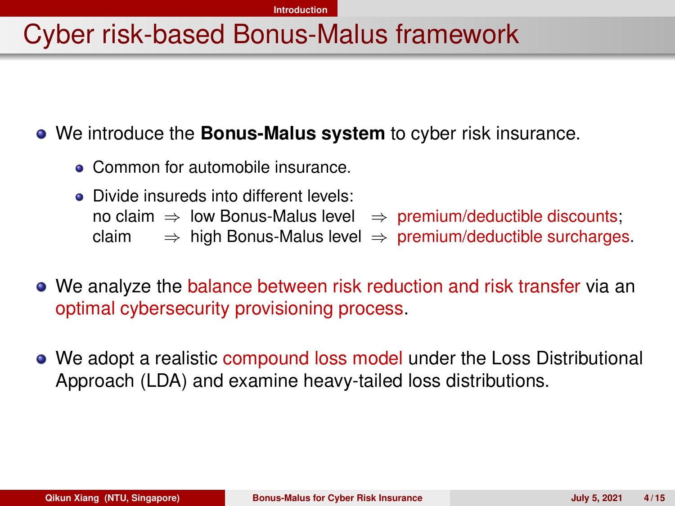#### **[Introduction](#page-1-0)**

#### Cyber risk-based Bonus-Malus framework

We introduce the **Bonus-Malus system** to cyber risk insurance.

- Common for automobile insurance.
- Divide insureds into different levels: no claim  $\Rightarrow$  low Bonus-Malus level  $\Rightarrow$  premium/deductible discounts; claim  $\Rightarrow$  high Bonus-Malus level  $\Rightarrow$  premium/deductible surcharges.
- We analyze the balance between risk reduction and risk transfer via an optimal cybersecurity provisioning process.
- We adopt a realistic compound loss model under the Loss Distributional Approach (LDA) and examine heavy-tailed loss distributions.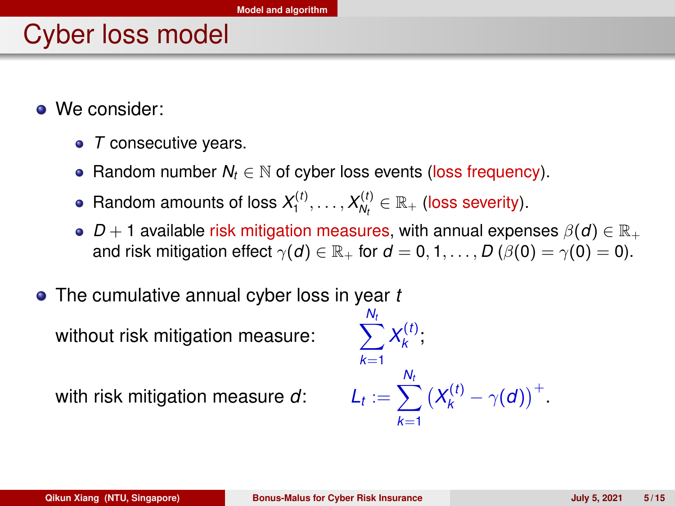## <span id="page-4-0"></span>Cyber loss model

- We consider:
	- *T* consecutive years.
	- **Random number** *N<sub>t</sub>* ∈ N of cyber loss events (loss frequency).
	- Random amounts of loss  $X_1^{(t)}, \ldots, X_{N_t}^{(t)} \in \mathbb{R}_+$  (loss severity).
	- $D+1$  available risk mitigation measures, with annual expenses  $\beta(d) \in \mathbb{R}_+$ and risk mitigation effect  $\gamma(d) \in \mathbb{R}_+$  for  $d = 0, 1, \ldots, D(\beta(0) = \gamma(0) = 0)$ .
- The cumulative annual cyber loss in year *t*

without risk mitigation measure:

with risk mitigation measure d:

$$
\sum_{k=1}^{N_t} X_k^{(t)};
$$
  

$$
L_t := \sum_{k=1}^{N_t} (X_k^{(t)} - \gamma(d))^{+}.
$$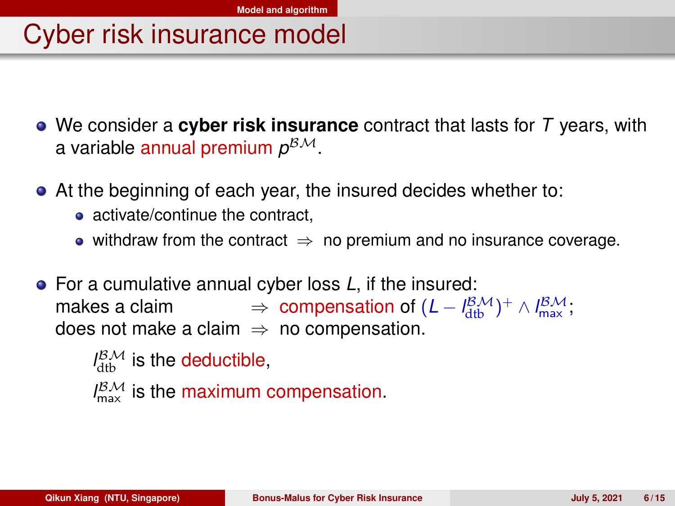#### Cyber risk insurance model

- We consider a **cyber risk insurance** contract that lasts for *T* years, with a variable <mark>annual premium  $\rho^{\beta\mathcal{M}}.$ </mark>
- At the beginning of each year, the insured decides whether to:
	- activate/continue the contract.
	- withdraw from the contract  $\Rightarrow$  no premium and no insurance coverage.
- For a cumulative annual cyber loss *L*, if the insured: makes a claim  $\Rightarrow$  compensation of  $(L - \frac{18\mathcal{M}}{dt})^+$  ∧  $\frac{18\mathcal{M}}{dx}$ ; does not make a claim  $\Rightarrow$  no compensation.

```
l_{\text{dtb}}^{\beta\mathcal{M}} is the deductible,
l_{\text{max}}^{\beta\mathcal{M}} is the maximum compensation.
```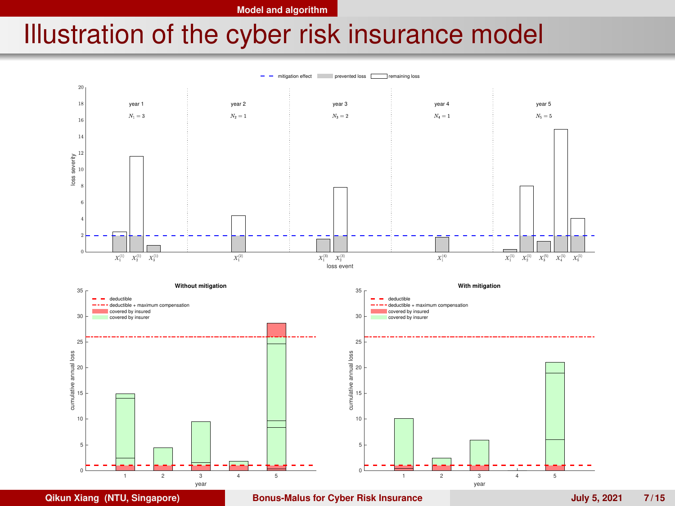**[Model and algorithm](#page-4-0)**

### Illustration of the cyber risk insurance model

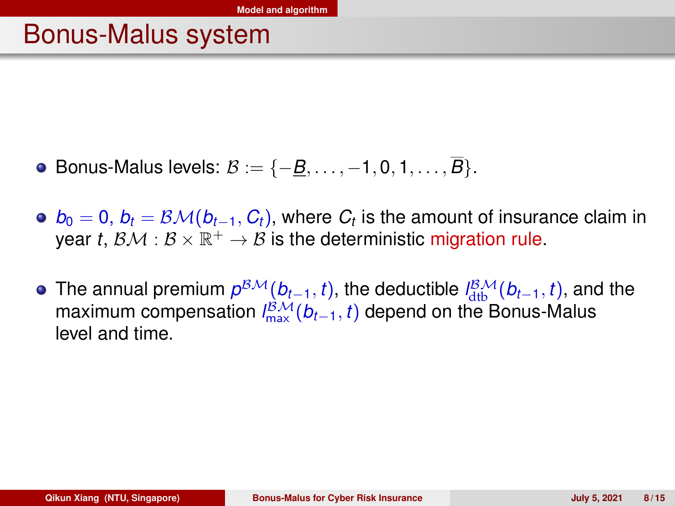#### Bonus-Malus system

- Bonus-Malus levels: B := {−*B*, . . . , −1, 0, 1, . . . , *B*}.
- $b_0 = 0, \, b_t = \mathcal{BM}(b_{t-1}, \mathit{C}_t),$  where  $\mathit{C}_t$  is the amount of insurance claim in year *t*,  $\mathcal{BM}: \mathcal{B} \times \mathbb{R}^+ \to \mathcal{B}$  is the deterministic migration rule.
- The annual premium  $p^{BM}(b_{t-1}, t)$ , the deductible  $l_{\text{dtb}}^{BM}(b_{t-1}, t)$ , and the maximum compensation  $l_{\text{max}}^{\mathcal{BM}}(b_{t-1}, t)$  depend on the Bonus-Malus level and time.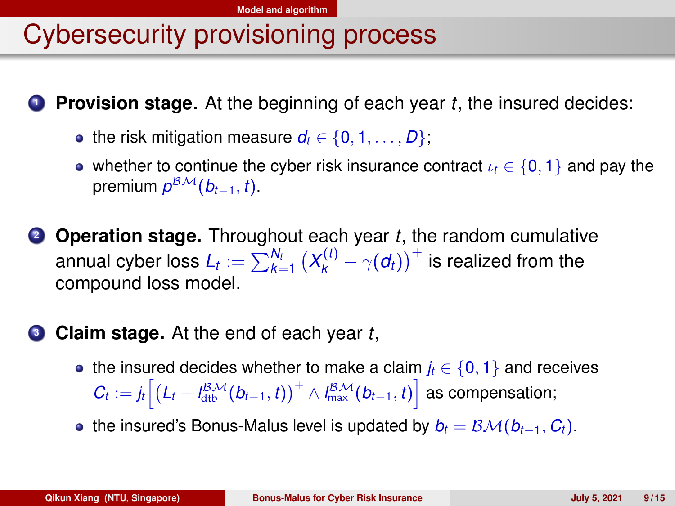# Cybersecurity provisioning process

**<sup>1</sup> Provision stage.** At the beginning of each year *t*, the insured decides:

- the risk mitigation measure  $d_t \in \{0, 1, \ldots, D\}$ ;
- whether to continue the cyber risk insurance contract  $\iota_t \in \{0, 1\}$  and pay the premium *p* BM(*bt*−1, *t*).
- **<sup>2</sup> Operation stage.** Throughout each year *t*, the random cumulative annual cyber loss  $L_t := \sum_{k=1}^{N_t} \big(X_k^{(t)} - \gamma(d_t)\big)^{+}$  is realized from the compound loss model.

#### **<sup>3</sup> Claim stage.** At the end of each year *t*,

- the insured decides whether to make a claim  $j_t \in \{0, 1\}$  and receives  $C_t := j_t \Big[ \big(L_t - l_{\text{dtb}}^{\text{BM}}(b_{t-1}, t) \big)^+ \wedge l_{\text{max}}^{\text{BM}}(b_{t-1}, t) \Big]$  as compensation;
- **•** the insured's Bonus-Malus level is updated by  $b_t = \mathcal{BM}(b_{t-1}, C_t)$ .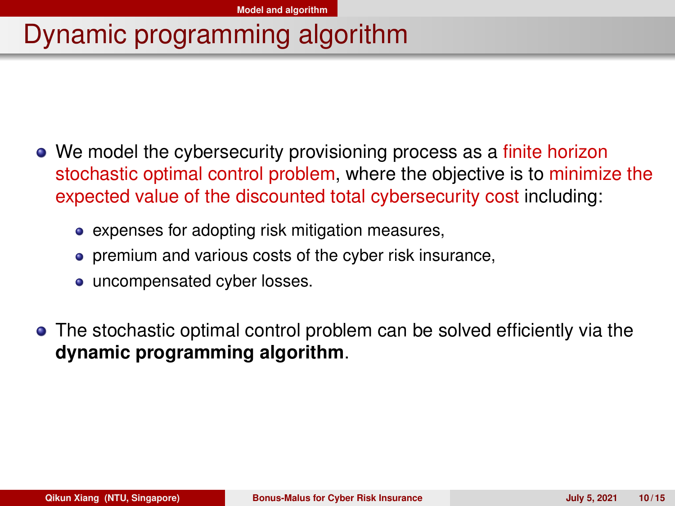## Dynamic programming algorithm

- We model the cybersecurity provisioning process as a finite horizon stochastic optimal control problem, where the objective is to minimize the expected value of the discounted total cybersecurity cost including:
	- expenses for adopting risk mitigation measures,
	- **•** premium and various costs of the cyber risk insurance,
	- uncompensated cyber losses.
- The stochastic optimal control problem can be solved efficiently via the **dynamic programming algorithm**.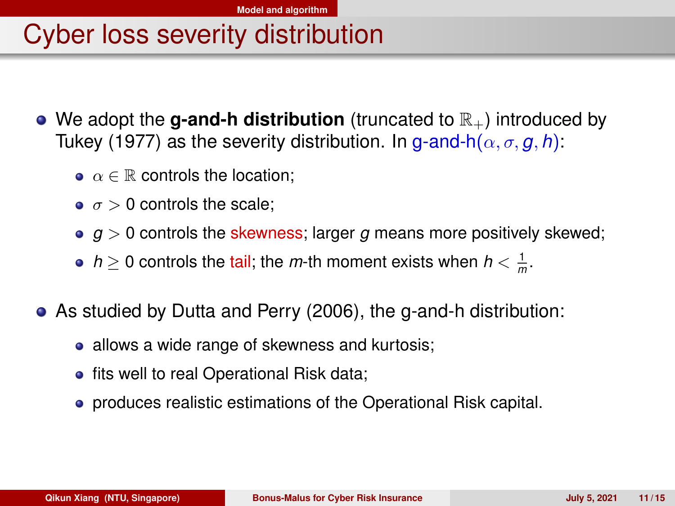## Cyber loss severity distribution

- We adopt the **g-and-h distribution** (truncated to  $\mathbb{R}_+$ ) introduced by Tukey (1977) as the severity distribution. In g-and-h( $\alpha$ ,  $\sigma$ ,  $\alpha$ ,  $h$ ):
	- $\bullet \ \alpha \in \mathbb{R}$  controls the location:
	- $\bullet \ \sigma > 0$  controls the scale;
	- $q > 0$  controls the skewness; larger  $q$  means more positively skewed;
	- *h*  $\geq$  0 controls the tail; the *m*-th moment exists when *h*  $< \frac{1}{m}$ .
- As studied by Dutta and Perry (2006), the g-and-h distribution:
	- allows a wide range of skewness and kurtosis;
	- fits well to real Operational Risk data;
	- produces realistic estimations of the Operational Risk capital.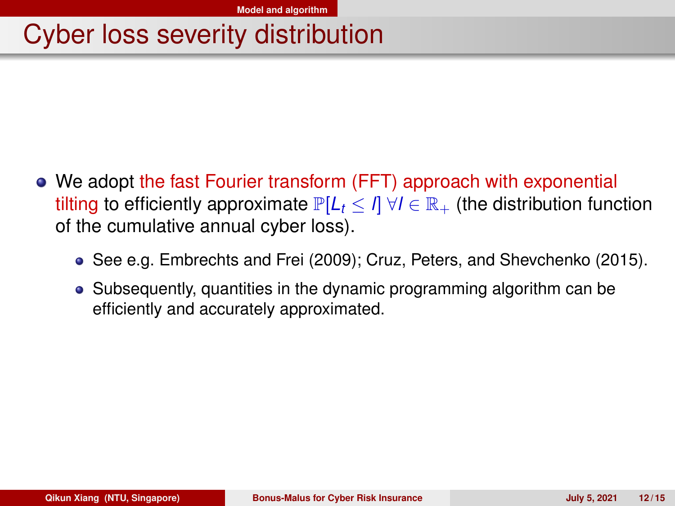## Cyber loss severity distribution

- We adopt the fast Fourier transform (FFT) approach with exponential tilting to efficiently approximate  $P[L_f \leq \eta \ \forall l \in \mathbb{R}_+$  (the distribution function of the cumulative annual cyber loss).
	- See e.g. Embrechts and Frei (2009); Cruz, Peters, and Shevchenko (2015).
	- Subsequently, quantities in the dynamic programming algorithm can be efficiently and accurately approximated.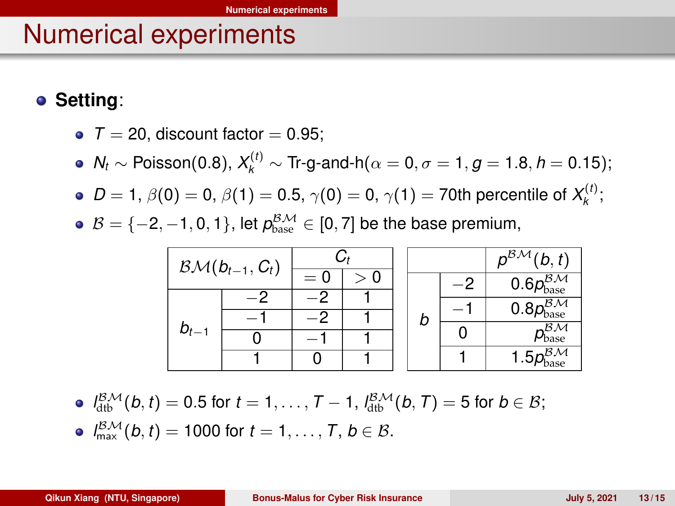#### <span id="page-12-0"></span>Numerical experiments

**Setting**:

- $\bullet$  *T* = 20, discount factor = 0.95;
- $N_t$  ∼ Poisson(0.8),  $X_k^{(t)}$  ∼ Tr-g-and-h( $\alpha = 0$ ,  $\sigma = 1$ ,  $g = 1.8$ ,  $h = 0.15$ );
- *D* = 1,  $\beta$ (0) = 0,  $\beta$ (1) = 0.5,  $\gamma$ (0) = 0,  $\gamma$ (1) = 70th percentile of  $X_k^{(t)}$ ;
- $\mathcal{B} = \{-2, -1, 0, 1\}$ , let  $p_{\text{base}}^{\mathcal{B}, \mathcal{M}} \in [0, 7]$  be the base premium,

| $B\mathcal{M}(b_{t-1},C_t)$ |  |       |  |  |   |                           | $\overline{p^{B\mathcal{M}}}(b,t)$      |
|-----------------------------|--|-------|--|--|---|---------------------------|-----------------------------------------|
|                             |  | $= 0$ |  |  |   | -2                        | $0.6p_{\text{base}}^{\beta\mathcal{M}}$ |
| $b_{t-1}$                   |  |       |  |  | b |                           | $0.8p_{\text{base}}^{B,M}$              |
|                             |  |       |  |  |   |                           |                                         |
|                             |  |       |  |  |   | ΒМ<br>$\nu_{\text{base}}$ |                                         |
|                             |  |       |  |  |   | $-\mathcal{B}\mathcal{M}$ |                                         |
|                             |  |       |  |  |   | Pbase                     |                                         |

 $d_{\rm dtb}^{\beta\mathcal{M}}(b,t)=0.5$  for  $t=1,\ldots,T-1$ ,  $d_{\rm dtb}^{\beta\mathcal{M}}(b,T)=5$  for  $b\in\mathcal{B};$  $l_{\max}^{\beta M}(b, t) = 1000$  for  $t = 1, ..., T, b \in \beta$ .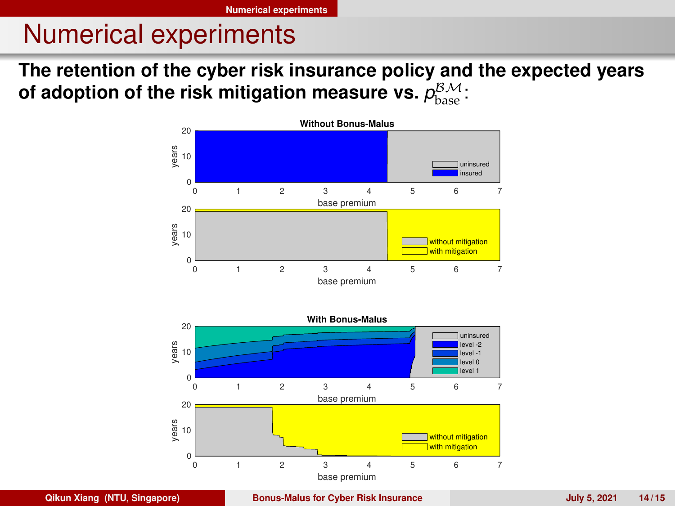#### Numerical experiments

**The retention of the cyber risk insurance policy and the expected years** of adoption of the risk mitigation measure vs.  $\rho^{\mathcal{BM}}_{\text{base}}$  :